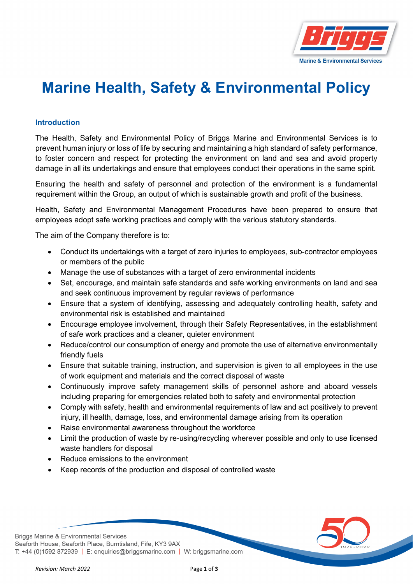

## **Marine Health, Safety & Environmental Policy**

## **Introduction**

The Health, Safety and Environmental Policy of Briggs Marine and Environmental Services is to prevent human injury or loss of life by securing and maintaining a high standard of safety performance, to foster concern and respect for protecting the environment on land and sea and avoid property damage in all its undertakings and ensure that employees conduct their operations in the same spirit.

Ensuring the health and safety of personnel and protection of the environment is a fundamental requirement within the Group, an output of which is sustainable growth and profit of the business.

Health, Safety and Environmental Management Procedures have been prepared to ensure that employees adopt safe working practices and comply with the various statutory standards.

The aim of the Company therefore is to:

- Conduct its undertakings with a target of zero injuries to employees, sub-contractor employees or members of the public
- Manage the use of substances with a target of zero environmental incidents
- Set, encourage, and maintain safe standards and safe working environments on land and sea and seek continuous improvement by regular reviews of performance
- Ensure that a system of identifying, assessing and adequately controlling health, safety and environmental risk is established and maintained
- Encourage employee involvement, through their Safety Representatives, in the establishment of safe work practices and a cleaner, quieter environment
- Reduce/control our consumption of energy and promote the use of alternative environmentally friendly fuels
- Ensure that suitable training, instruction, and supervision is given to all employees in the use of work equipment and materials and the correct disposal of waste
- Continuously improve safety management skills of personnel ashore and aboard vessels including preparing for emergencies related both to safety and environmental protection
- Comply with safety, health and environmental requirements of law and act positively to prevent injury, ill health, damage, loss, and environmental damage arising from its operation
- Raise environmental awareness throughout the workforce
- Limit the production of waste by re-using/recycling wherever possible and only to use licensed waste handlers for disposal
- Reduce emissions to the environment
- Keep records of the production and disposal of controlled waste

**Briggs Marine & Environmental Services** Seaforth House, Seaforth Place, Burntisland, Fife, KY3 9AX T: +44 (0)1592 872939 | E: enquiries@briggsmarine.com | W: briggsmarine.com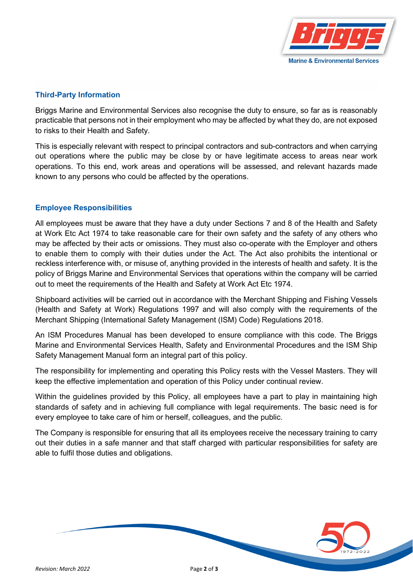

## **Third-Party Information**

Briggs Marine and Environmental Services also recognise the duty to ensure, so far as is reasonably practicable that persons not in their employment who may be affected by what they do, are not exposed to risks to their Health and Safety.

This is especially relevant with respect to principal contractors and sub-contractors and when carrying out operations where the public may be close by or have legitimate access to areas near work operations. To this end, work areas and operations will be assessed, and relevant hazards made known to any persons who could be affected by the operations.

## **Employee Responsibilities**

All employees must be aware that they have a duty under Sections 7 and 8 of the Health and Safety at Work Etc Act 1974 to take reasonable care for their own safety and the safety of any others who may be affected by their acts or omissions. They must also co-operate with the Employer and others to enable them to comply with their duties under the Act. The Act also prohibits the intentional or reckless interference with, or misuse of, anything provided in the interests of health and safety. It is the policy of Briggs Marine and Environmental Services that operations within the company will be carried out to meet the requirements of the Health and Safety at Work Act Etc 1974.

Shipboard activities will be carried out in accordance with the Merchant Shipping and Fishing Vessels (Health and Safety at Work) Regulations 1997 and will also comply with the requirements of the Merchant Shipping (International Safety Management (ISM) Code) Regulations 2018.

An ISM Procedures Manual has been developed to ensure compliance with this code. The Briggs Marine and Environmental Services Health, Safety and Environmental Procedures and the ISM Ship Safety Management Manual form an integral part of this policy.

The responsibility for implementing and operating this Policy rests with the Vessel Masters. They will keep the effective implementation and operation of this Policy under continual review.

Within the guidelines provided by this Policy, all employees have a part to play in maintaining high standards of safety and in achieving full compliance with legal requirements. The basic need is for every employee to take care of him or herself, colleagues, and the public.

The Company is responsible for ensuring that all its employees receive the necessary training to carry out their duties in a safe manner and that staff charged with particular responsibilities for safety are able to fulfil those duties and obligations.